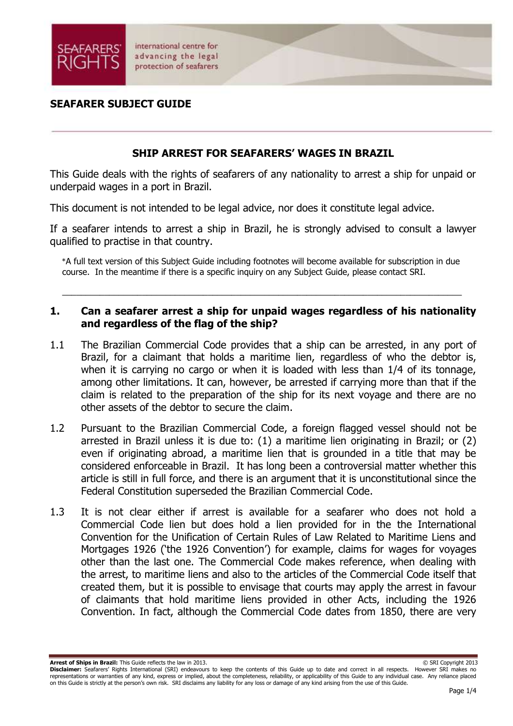

## **SHIP ARREST FOR SEAFARERS' WAGES IN BRAZIL**

This Guide deals with the rights of seafarers of any nationality to arrest a ship for unpaid or underpaid wages in a port in Brazil.

This document is not intended to be legal advice, nor does it constitute legal advice.

If a seafarer intends to arrest a ship in Brazil, he is strongly advised to consult a lawyer qualified to practise in that country.

\*A full text version of this Subject Guide including footnotes will become available for subscription in due course. In the meantime if there is a specific inquiry on any Subject Guide, please contact SRI.

 $\_$  , and the set of the set of the set of the set of the set of the set of the set of the set of the set of the set of the set of the set of the set of the set of the set of the set of the set of the set of the set of th

## **1. Can a seafarer arrest a ship for unpaid wages regardless of his nationality and regardless of the flag of the ship?**

- 1.1 The Brazilian Commercial Code provides that a ship can be arrested, in any port of Brazil, for a claimant that holds a maritime lien, regardless of who the debtor is, when it is carrying no cargo or when it is loaded with less than 1/4 of its tonnage, among other limitations. It can, however, be arrested if carrying more than that if the claim is related to the preparation of the ship for its next voyage and there are no other assets of the debtor to secure the claim.
- 1.2 Pursuant to the Brazilian Commercial Code, a foreign flagged vessel should not be arrested in Brazil unless it is due to: (1) a maritime lien originating in Brazil; or (2) even if originating abroad, a maritime lien that is grounded in a title that may be considered enforceable in Brazil. It has long been a controversial matter whether this article is still in full force, and there is an argument that it is unconstitutional since the Federal Constitution superseded the Brazilian Commercial Code.
- 1.3 It is not clear either if arrest is available for a seafarer who does not hold a Commercial Code lien but does hold a lien provided for in the the International Convention for the Unification of Certain Rules of Law Related to Maritime Liens and Mortgages 1926 ('the 1926 Convention') for example, claims for wages for voyages other than the last one. The Commercial Code makes reference, when dealing with the arrest, to maritime liens and also to the articles of the Commercial Code itself that created them, but it is possible to envisage that courts may apply the arrest in favour of claimants that hold maritime liens provided in other Acts, including the 1926 Convention. In fact, although the Commercial Code dates from 1850, there are very

**Arrest of Ships in Brazil:** This Guide reflects the law in 2013. **Can also a state of Ships in Brazil:** This Guide reflects the law in 2013. **Disclaimer:** Seafarers' Rights International (SRI) endeavours to keep the contents of this Guide up to date and correct in all respects. However SRI makes no representations or warranties of any kind, express or implied, about the completeness, reliability, or applicability of this Guide to any individual case. Any reliance placed on this Guide is strictly at the person's own risk. SRI disclaims any liability for any loss or damage of any kind arising from the use of this Guide.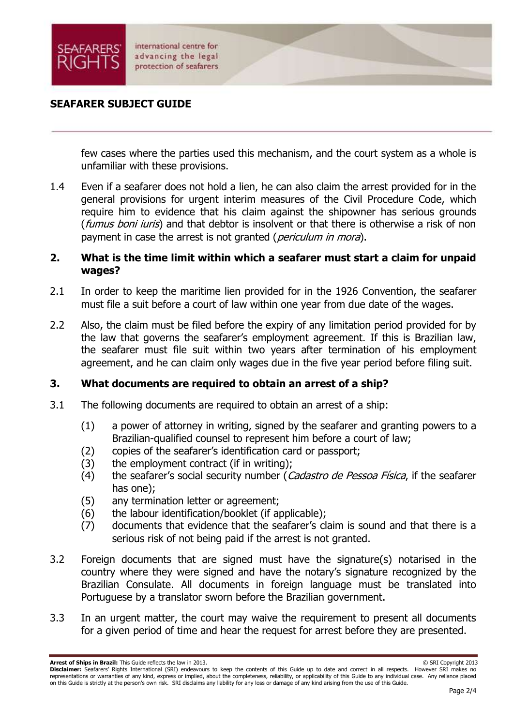

few cases where the parties used this mechanism, and the court system as a whole is unfamiliar with these provisions.

1.4 Even if a seafarer does not hold a lien, he can also claim the arrest provided for in the general provisions for urgent interim measures of the Civil Procedure Code, which require him to evidence that his claim against the shipowner has serious grounds (*fumus boni iuris*) and that debtor is insolvent or that there is otherwise a risk of non payment in case the arrest is not granted (periculum in mora).

#### **2. What is the time limit within which a seafarer must start a claim for unpaid wages?**

- 2.1 In order to keep the maritime lien provided for in the 1926 Convention, the seafarer must file a suit before a court of law within one year from due date of the wages.
- 2.2 Also, the claim must be filed before the expiry of any limitation period provided for by the law that governs the seafarer's employment agreement. If this is Brazilian law, the seafarer must file suit within two years after termination of his employment agreement, and he can claim only wages due in the five year period before filing suit.

#### **3. What documents are required to obtain an arrest of a ship?**

- 3.1 The following documents are required to obtain an arrest of a ship:
	- (1) a power of attorney in writing, signed by the seafarer and granting powers to a Brazilian-qualified counsel to represent him before a court of law;
	- (2) copies of the seafarer's identification card or passport;
	- (3) the employment contract (if in writing);
	- (4) the seafarer's social security number (Cadastro de Pessoa Física, if the seafarer has one);
	- (5) any termination letter or agreement;
	- (6) the labour identification/booklet (if applicable);
	- (7) documents that evidence that the seafarer's claim is sound and that there is a serious risk of not being paid if the arrest is not granted.
- 3.2 Foreign documents that are signed must have the signature(s) notarised in the country where they were signed and have the notary's signature recognized by the Brazilian Consulate. All documents in foreign language must be translated into Portuguese by a translator sworn before the Brazilian government.
- 3.3 In an urgent matter, the court may waive the requirement to present all documents for a given period of time and hear the request for arrest before they are presented.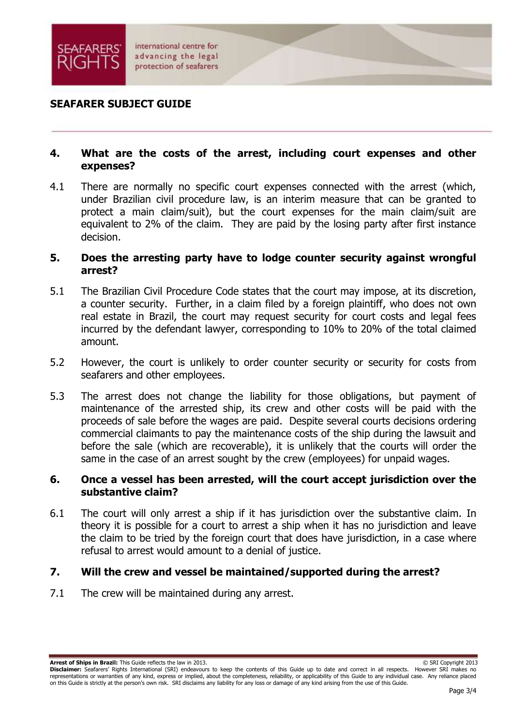

#### **4. What are the costs of the arrest, including court expenses and other expenses?**

4.1 There are normally no specific court expenses connected with the arrest (which, under Brazilian civil procedure law, is an interim measure that can be granted to protect a main claim/suit), but the court expenses for the main claim/suit are equivalent to 2% of the claim. They are paid by the losing party after first instance decision.

#### **5. Does the arresting party have to lodge counter security against wrongful arrest?**

- 5.1 The Brazilian Civil Procedure Code states that the court may impose, at its discretion, a counter security. Further, in a claim filed by a foreign plaintiff, who does not own real estate in Brazil, the court may request security for court costs and legal fees incurred by the defendant lawyer, corresponding to 10% to 20% of the total claimed amount.
- 5.2 However, the court is unlikely to order counter security or security for costs from seafarers and other employees.
- 5.3 The arrest does not change the liability for those obligations, but payment of maintenance of the arrested ship, its crew and other costs will be paid with the proceeds of sale before the wages are paid. Despite several courts decisions ordering commercial claimants to pay the maintenance costs of the ship during the lawsuit and before the sale (which are recoverable), it is unlikely that the courts will order the same in the case of an arrest sought by the crew (employees) for unpaid wages.

#### **6. Once a vessel has been arrested, will the court accept jurisdiction over the substantive claim?**

6.1 The court will only arrest a ship if it has jurisdiction over the substantive claim. In theory it is possible for a court to arrest a ship when it has no jurisdiction and leave the claim to be tried by the foreign court that does have jurisdiction, in a case where refusal to arrest would amount to a denial of justice.

#### **7. Will the crew and vessel be maintained/supported during the arrest?**

7.1 The crew will be maintained during any arrest.